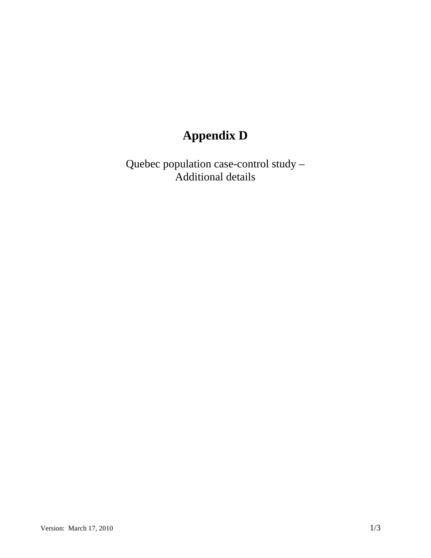## **Appendix D**

Quebec population case-control study – Additional details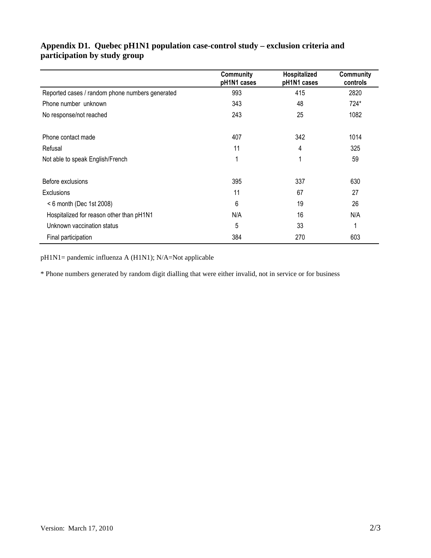|                                                 | Community<br>pH1N1 cases | Hospitalized<br>pH1N1 cases | Community<br>controls |
|-------------------------------------------------|--------------------------|-----------------------------|-----------------------|
| Reported cases / random phone numbers generated | 993                      | 415                         | 2820                  |
| Phone number unknown                            | 343                      | 48                          | 724*                  |
| No response/not reached                         | 243                      | 25                          | 1082                  |
| Phone contact made                              | 407                      | 342                         | 1014                  |
| Refusal                                         | 11                       | 4                           | 325                   |
| Not able to speak English/French                |                          | 4                           | 59                    |
| Before exclusions                               | 395                      | 337                         | 630                   |
| Exclusions                                      | 11                       | 67                          | 27                    |
| $< 6$ month (Dec 1st 2008)                      | 6                        | 19                          | 26                    |
| Hospitalized for reason other than pH1N1        | N/A                      | 16                          | N/A                   |
| Unknown vaccination status                      | 5                        | 33                          |                       |
| Final participation                             | 384                      | 270                         | 603                   |

## **Appendix D1. Quebec pH1N1 population case-control study – exclusion criteria and participation by study group**

pH1N1= pandemic influenza A (H1N1); N/A=Not applicable

\* Phone numbers generated by random digit dialling that were either invalid, not in service or for business